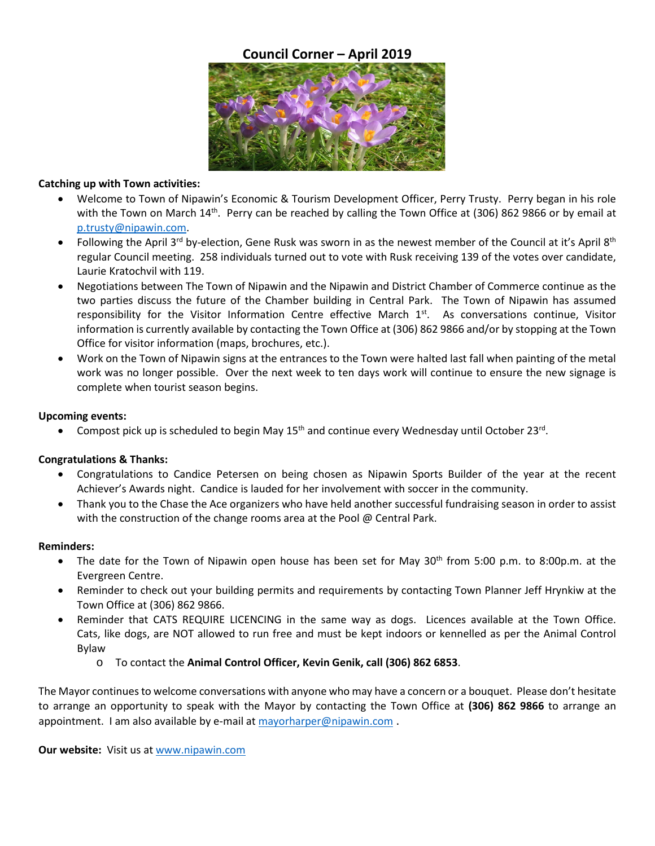# **Council Corner – April 2019**



### **Catching up with Town activities:**

- Welcome to Town of Nipaw[in's](https://creativecommons.org/licenses/by-sa/3.0/) Economic & Tourism Development Officer, Perry Trusty. Perry began in his role with the Town on March 14<sup>th</sup>. Perry can be reached by calling the Town Office at (306) 862 9866 or by email at [p.trusty@nipawin.com.](mailto:p.trusty@nipawin.com)
- Following the April 3<sup>rd</sup> by-election, Gene Rusk was sworn in as the newest member of the Council at it's April 8<sup>th</sup> regular Council meeting. 258 individuals turned out to vote with Rusk receiving 139 of the votes over candidate, Laurie Kratochvil with 119.
- Negotiations between The Town of Nipawin and the Nipawin and District Chamber of Commerce continue as the two parties discuss the future of the Chamber building in Central Park. The Town of Nipawin has assumed responsibility for the Visitor Information Centre effective March 1st. As conversations continue, Visitor information is currently available by contacting the Town Office at (306) 862 9866 and/or by stopping at the Town Office for visitor information (maps, brochures, etc.).
- Work on the Town of Nipawin signs at the entrances to the Town were halted last fall when painting of the metal work was no longer possible. Over the next week to ten days work will continue to ensure the new signage is complete when tourist season begins.

## **Upcoming events:**

Compost pick up is scheduled to begin May 15<sup>th</sup> and continue every Wednesday until October 23<sup>rd</sup>.

## **Congratulations & Thanks:**

- Congratulations to Candice Petersen on being chosen as Nipawin Sports Builder of the year at the recent Achiever's Awards night. Candice is lauded for her involvement with soccer in the community.
- Thank you to the Chase the Ace organizers who have held another successful fundraising season in order to assist with the construction of the change rooms area at the Pool @ Central Park.

## **Reminders:**

- The date for the Town of Nipawin open house has been set for May  $30<sup>th</sup>$  from 5:00 p.m. to 8:00p.m. at the Evergreen Centre.
- Reminder to check out your building permits and requirements by contacting Town Planner Jeff Hrynkiw at the Town Office at (306) 862 9866.
- Reminder that CATS REQUIRE LICENCING in the same way as dogs. Licences available at the Town Office. Cats, like dogs, are NOT allowed to run free and must be kept indoors or kennelled as per the Animal Control Bylaw
	- o To contact the **Animal Control Officer, Kevin Genik, call (306) 862 6853**.

The Mayor continues to welcome conversations with anyone who may have a concern or a bouquet. Please don't hesitate to arrange an opportunity to speak with the Mayor by contacting the Town Office at **(306) 862 9866** to arrange an appointment. I am also available by e-mail a[t mayorharper@nipawin.com](mailto:mayorharper@nipawin.com).

**Our website:** Visit us a[t www.nipawin.com](http://www.nipawin.com/)